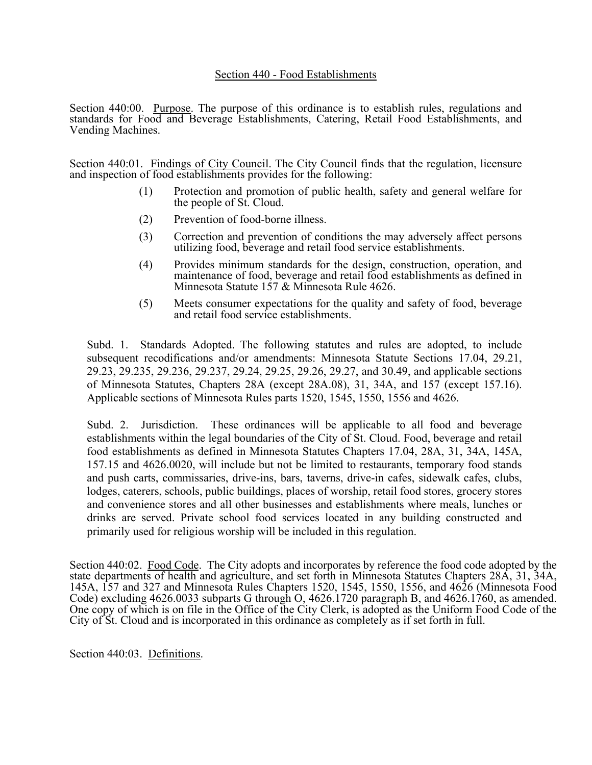## Section 440 - Food Establishments

Section 440:00. Purpose. The purpose of this ordinance is to establish rules, regulations and standards for Food and Beverage Establishments, Catering, Retail Food Establishments, and Vending Machines.

Section 440:01. Findings of City Council. The City Council finds that the regulation, licensure and inspection of food establishments provides for the following:

- (1) Protection and promotion of public health, safety and general welfare for the people of St. Cloud.
- (2) Prevention of food-borne illness.
- (3) Correction and prevention of conditions the may adversely affect persons utilizing food, beverage and retail food service establishments.
- (4) Provides minimum standards for the design, construction, operation, and maintenance of food, beverage and retail food establishments as defined in Minnesota Statute 157 & Minnesota Rule 4626.
- (5) Meets consumer expectations for the quality and safety of food, beverage and retail food service establishments.

Subd. 1. Standards Adopted. The following statutes and rules are adopted, to include subsequent recodifications and/or amendments: Minnesota Statute Sections 17.04, 29.21, 29.23, 29.235, 29.236, 29.237, 29.24, 29.25, 29.26, 29.27, and 30.49, and applicable sections of Minnesota Statutes, Chapters 28A (except 28A.08), 31, 34A, and 157 (except 157.16). Applicable sections of Minnesota Rules parts 1520, 1545, 1550, 1556 and 4626.

Subd. 2. Jurisdiction. These ordinances will be applicable to all food and beverage establishments within the legal boundaries of the City of St. Cloud. Food, beverage and retail food establishments as defined in Minnesota Statutes Chapters 17.04, 28A, 31, 34A, 145A, 157.15 and 4626.0020, will include but not be limited to restaurants, temporary food stands and push carts, commissaries, drive-ins, bars, taverns, drive-in cafes, sidewalk cafes, clubs, lodges, caterers, schools, public buildings, places of worship, retail food stores, grocery stores and convenience stores and all other businesses and establishments where meals, lunches or drinks are served. Private school food services located in any building constructed and primarily used for religious worship will be included in this regulation.

Section 440:02. Food Code. The City adopts and incorporates by reference the food code adopted by the state departments of health and agriculture, and set forth in Minnesota Statutes Chapters 28A, 31, 34A, 145A, 157 and 327 and Minnesota Rules Chapters 1520, 1545, 1550, 1556, and 4626 (Minnesota Food Code) excluding 4626.0033 subparts G through O, 4626.1720 paragraph B, and 4626.1760, as amended. One copy of which is on file in the Office of the City Clerk, is adopted as the Uniform Food Code of the City of St. Cloud and is incorporated in this ordinance as completely as if set forth in full.

Section 440:03. Definitions.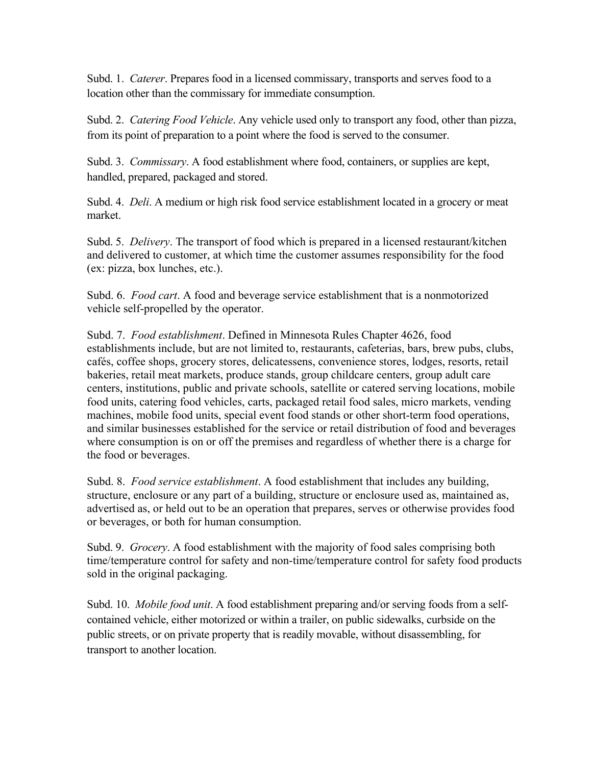Subd. 1. *Caterer*. Prepares food in a licensed commissary, transports and serves food to a location other than the commissary for immediate consumption.

Subd. 2. *Catering Food Vehicle*. Any vehicle used only to transport any food, other than pizza, from its point of preparation to a point where the food is served to the consumer.

Subd. 3. *Commissary*. A food establishment where food, containers, or supplies are kept, handled, prepared, packaged and stored.

Subd. 4. *Deli*. A medium or high risk food service establishment located in a grocery or meat market.

Subd. 5. *Delivery*. The transport of food which is prepared in a licensed restaurant/kitchen and delivered to customer, at which time the customer assumes responsibility for the food (ex: pizza, box lunches, etc.).

Subd. 6. *Food cart*. A food and beverage service establishment that is a nonmotorized vehicle self-propelled by the operator.

Subd. 7. *Food establishment*. Defined in Minnesota Rules Chapter 4626, food establishments include, but are not limited to, restaurants, cafeterias, bars, brew pubs, clubs, cafés, coffee shops, grocery stores, delicatessens, convenience stores, lodges, resorts, retail bakeries, retail meat markets, produce stands, group childcare centers, group adult care centers, institutions, public and private schools, satellite or catered serving locations, mobile food units, catering food vehicles, carts, packaged retail food sales, micro markets, vending machines, mobile food units, special event food stands or other short-term food operations, and similar businesses established for the service or retail distribution of food and beverages where consumption is on or off the premises and regardless of whether there is a charge for the food or beverages.

Subd. 8. *Food service establishment*. A food establishment that includes any building, structure, enclosure or any part of a building, structure or enclosure used as, maintained as, advertised as, or held out to be an operation that prepares, serves or otherwise provides food or beverages, or both for human consumption.

Subd. 9. *Grocery*. A food establishment with the majority of food sales comprising both time/temperature control for safety and non-time/temperature control for safety food products sold in the original packaging.

Subd. 10. *Mobile food unit*. A food establishment preparing and/or serving foods from a selfcontained vehicle, either motorized or within a trailer, on public sidewalks, curbside on the public streets, or on private property that is readily movable, without disassembling, for transport to another location.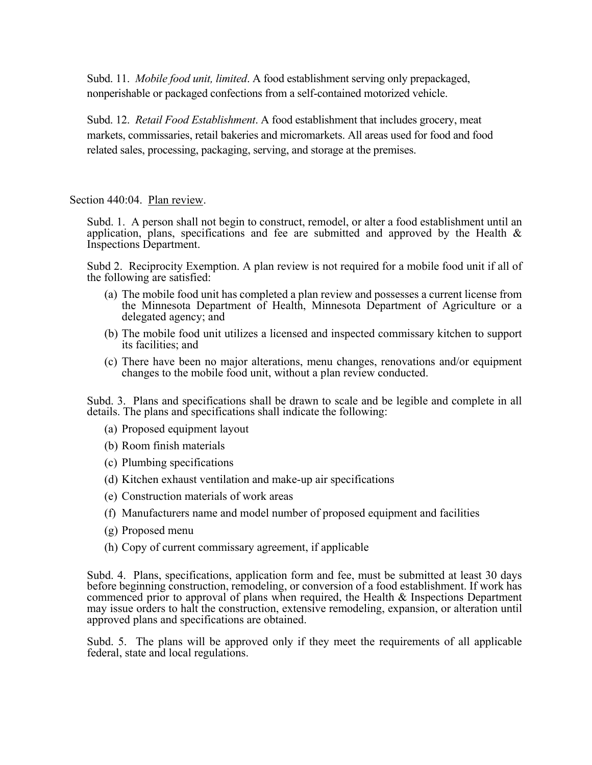Subd. 11. *Mobile food unit, limited*. A food establishment serving only prepackaged, nonperishable or packaged confections from a self-contained motorized vehicle.

Subd. 12. *Retail Food Establishment*. A food establishment that includes grocery, meat markets, commissaries, retail bakeries and micromarkets. All areas used for food and food related sales, processing, packaging, serving, and storage at the premises.

Section 440:04. Plan review.

Subd. 1. A person shall not begin to construct, remodel, or alter a food establishment until an application, plans, specifications and fee are submitted and approved by the Health  $\&$ Inspections Department.

Subd 2. Reciprocity Exemption. A plan review is not required for a mobile food unit if all of the following are satisfied:

- (a) The mobile food unit has completed a plan review and possesses a current license from the Minnesota Department of Health, Minnesota Department of Agriculture or a delegated agency; and
- (b) The mobile food unit utilizes a licensed and inspected commissary kitchen to support its facilities; and
- (c) There have been no major alterations, menu changes, renovations and/or equipment changes to the mobile food unit, without a plan review conducted.

Subd. 3. Plans and specifications shall be drawn to scale and be legible and complete in all details. The plans and specifications shall indicate the following:

- (a) Proposed equipment layout
- (b) Room finish materials
- (c) Plumbing specifications
- (d) Kitchen exhaust ventilation and make-up air specifications
- (e) Construction materials of work areas
- (f) Manufacturers name and model number of proposed equipment and facilities
- (g) Proposed menu
- (h) Copy of current commissary agreement, if applicable

Subd. 4. Plans, specifications, application form and fee, must be submitted at least 30 days before beginning construction, remodeling, or conversion of a food establishment. If work has commenced prior to approval of plans when required, the Health & Inspections Department may issue orders to halt the construction, extensive remodeling, expansion, or alteration until approved plans and specifications are obtained.

Subd. 5. The plans will be approved only if they meet the requirements of all applicable federal, state and local regulations.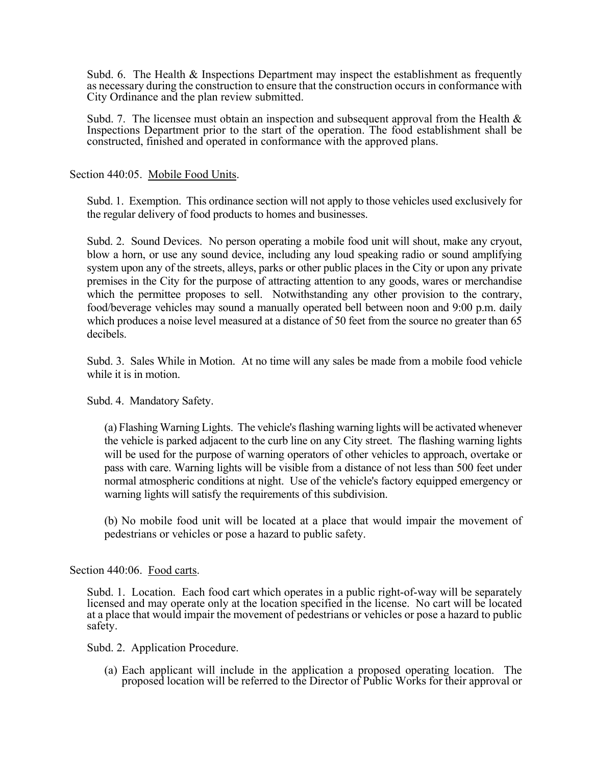Subd. 6. The Health & Inspections Department may inspect the establishment as frequently as necessary during the construction to ensure that the construction occurs in conformance with City Ordinance and the plan review submitted.

Subd. 7. The licensee must obtain an inspection and subsequent approval from the Health & Inspections Department prior to the start of the operation. The food establishment shall be constructed, finished and operated in conformance with the approved plans.

Section 440:05. Mobile Food Units.

Subd. 1. Exemption. This ordinance section will not apply to those vehicles used exclusively for the regular delivery of food products to homes and businesses.

Subd. 2. Sound Devices. No person operating a mobile food unit will shout, make any cryout, blow a horn, or use any sound device, including any loud speaking radio or sound amplifying system upon any of the streets, alleys, parks or other public places in the City or upon any private premises in the City for the purpose of attracting attention to any goods, wares or merchandise which the permittee proposes to sell. Notwithstanding any other provision to the contrary, food/beverage vehicles may sound a manually operated bell between noon and 9:00 p.m. daily which produces a noise level measured at a distance of 50 feet from the source no greater than 65 decibels.

Subd. 3. Sales While in Motion. At no time will any sales be made from a mobile food vehicle while it is in motion.

Subd. 4. Mandatory Safety.

 (a) Flashing Warning Lights. The vehicle's flashing warning lights will be activated whenever the vehicle is parked adjacent to the curb line on any City street. The flashing warning lights will be used for the purpose of warning operators of other vehicles to approach, overtake or pass with care. Warning lights will be visible from a distance of not less than 500 feet under normal atmospheric conditions at night. Use of the vehicle's factory equipped emergency or warning lights will satisfy the requirements of this subdivision.

 (b) No mobile food unit will be located at a place that would impair the movement of pedestrians or vehicles or pose a hazard to public safety.

## Section 440:06. Food carts.

Subd. 1. Location. Each food cart which operates in a public right-of-way will be separately licensed and may operate only at the location specified in the license. No cart will be located at a place that would impair the movement of pedestrians or vehicles or pose a hazard to public safety.

Subd. 2. Application Procedure.

(a) Each applicant will include in the application a proposed operating location. The proposed location will be referred to the Director of Public Works for their approval or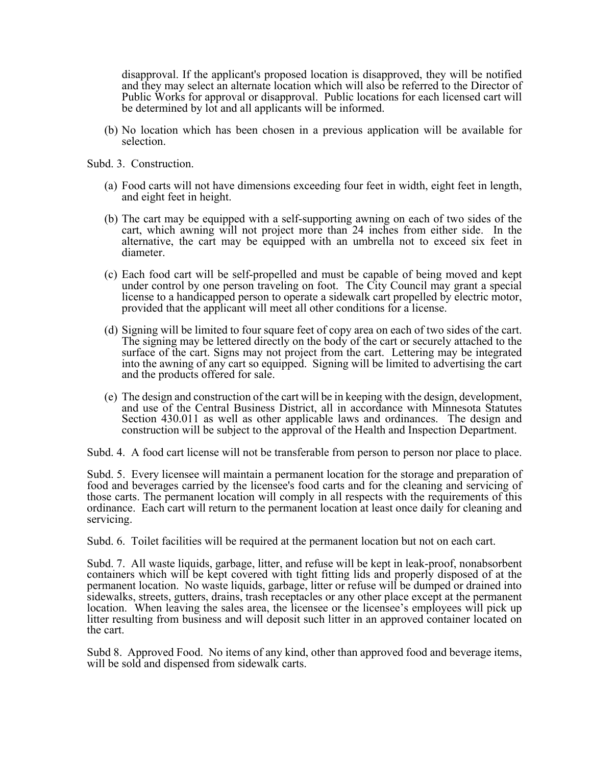disapproval. If the applicant's proposed location is disapproved, they will be notified and they may select an alternate location which will also be referred to the Director of Public Works for approval or disapproval. Public locations for each licensed cart will be determined by lot and all applicants will be informed.

(b) No location which has been chosen in a previous application will be available for selection.

Subd. 3. Construction.

- (a) Food carts will not have dimensions exceeding four feet in width, eight feet in length, and eight feet in height.
- (b) The cart may be equipped with a self-supporting awning on each of two sides of the cart, which awning will not project more than 24 inches from either side. In the alternative, the cart may be equipped with an umbrella not to exceed six feet in diameter.
- (c) Each food cart will be self-propelled and must be capable of being moved and kept under control by one person traveling on foot. The City Council may grant a special license to a handicapped person to operate a sidewalk cart propelled by electric motor, provided that the applicant will meet all other conditions for a license.
- (d) Signing will be limited to four square feet of copy area on each of two sides of the cart. The signing may be lettered directly on the body of the cart or securely attached to the surface of the cart. Signs may not project from the cart. Lettering may be integrated into the awning of any cart so equipped. Signing will be limited to advertising the cart and the products offered for sale.
- (e) The design and construction of the cart will be in keeping with the design, development, and use of the Central Business District, all in accordance with Minnesota Statutes Section 430.011 as well as other applicable laws and ordinances. The design and construction will be subject to the approval of the Health and Inspection Department.

Subd. 4. A food cart license will not be transferable from person to person nor place to place.

Subd. 5. Every licensee will maintain a permanent location for the storage and preparation of food and beverages carried by the licensee's food carts and for the cleaning and servicing of those carts. The permanent location will comply in all respects with the requirements of this ordinance. Each cart will return to the permanent location at least once daily for cleaning and servicing.

Subd. 6. Toilet facilities will be required at the permanent location but not on each cart.

Subd. 7. All waste liquids, garbage, litter, and refuse will be kept in leak-proof, nonabsorbent containers which will be kept covered with tight fitting lids and properly disposed of at the permanent location. No waste liquids, garbage, litter or refuse will be dumped or drained into sidewalks, streets, gutters, drains, trash receptacles or any other place except at the permanent location. When leaving the sales area, the licensee or the licensee's employees will pick up litter resulting from business and will deposit such litter in an approved container located on the cart.

Subd 8. Approved Food. No items of any kind, other than approved food and beverage items, will be sold and dispensed from sidewalk carts.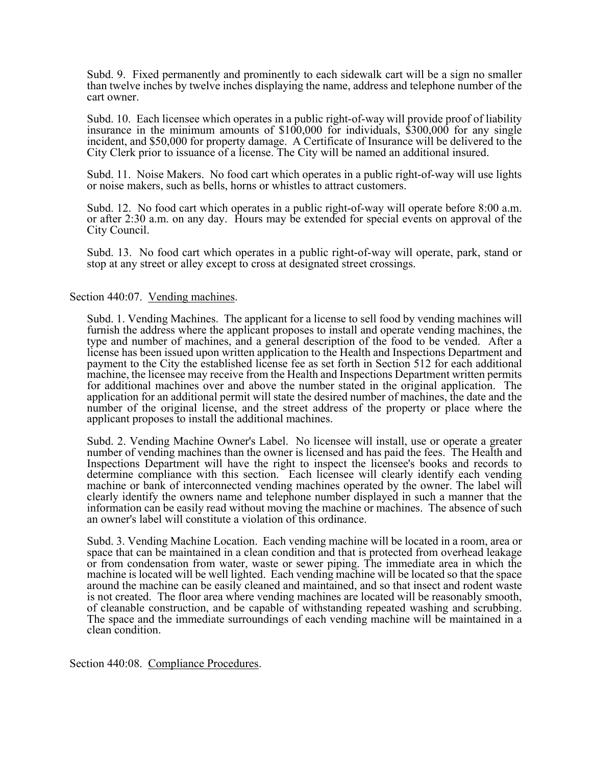Subd. 9. Fixed permanently and prominently to each sidewalk cart will be a sign no smaller than twelve inches by twelve inches displaying the name, address and telephone number of the cart owner.

Subd. 10. Each licensee which operates in a public right-of-way will provide proof of liability insurance in the minimum amounts of \$100,000 for individuals, \$300,000 for any single incident, and \$50,000 for property damage. A Certificate of Insurance will be delivered to the City Clerk prior to issuance of a license. The City will be named an additional insured.

Subd. 11. Noise Makers. No food cart which operates in a public right-of-way will use lights or noise makers, such as bells, horns or whistles to attract customers.

Subd. 12. No food cart which operates in a public right-of-way will operate before 8:00 a.m. or after 2:30 a.m. on any day. Hours may be extended for special events on approval of the City Council.

Subd. 13. No food cart which operates in a public right-of-way will operate, park, stand or stop at any street or alley except to cross at designated street crossings.

## Section 440:07. Vending machines.

Subd. 1. Vending Machines. The applicant for a license to sell food by vending machines will furnish the address where the applicant proposes to install and operate vending machines, the type and number of machines, and a general description of the food to be vended. After a license has been issued upon written application to the Health and Inspections Department and payment to the City the established license fee as set forth in Section 512 for each additional machine, the licensee may receive from the Health and Inspections Department written permits for additional machines over and above the number stated in the original application. The application for an additional permit will state the desired number of machines, the date and the number of the original license, and the street address of the property or place where the applicant proposes to install the additional machines.

Subd. 2. Vending Machine Owner's Label. No licensee will install, use or operate a greater number of vending machines than the owner is licensed and has paid the fees. The Health and Inspections Department will have the right to inspect the licensee's books and records to determine compliance with this section. Each licensee will clearly identify each vending machine or bank of interconnected vending machines operated by the owner. The label will clearly identify the owners name and telephone number displayed in such a manner that the information can be easily read without moving the machine or machines. The absence of such an owner's label will constitute a violation of this ordinance.

Subd. 3. Vending Machine Location. Each vending machine will be located in a room, area or space that can be maintained in a clean condition and that is protected from overhead leakage or from condensation from water, waste or sewer piping. The immediate area in which the machine is located will be well lighted. Each vending machine will be located so that the space around the machine can be easily cleaned and maintained, and so that insect and rodent waste is not created. The floor area where vending machines are located will be reasonably smooth, of cleanable construction, and be capable of withstanding repeated washing and scrubbing. The space and the immediate surroundings of each vending machine will be maintained in a clean condition.

Section 440:08. Compliance Procedures.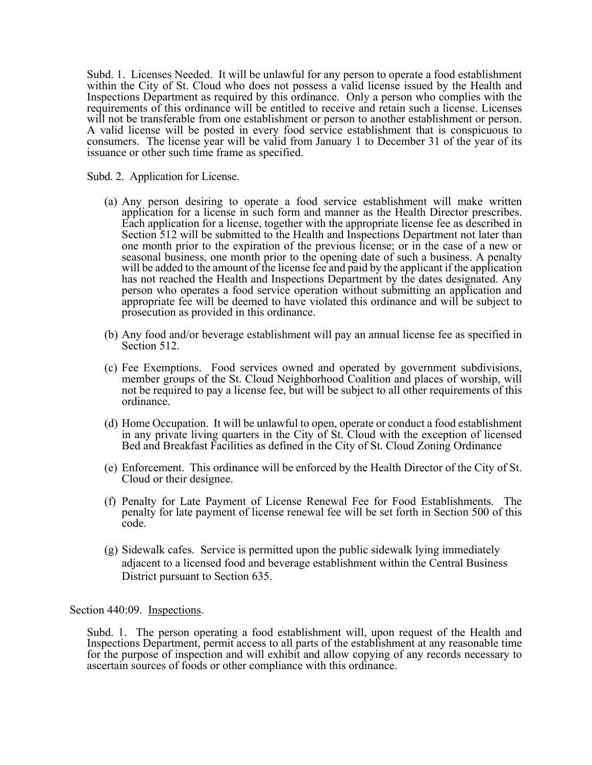Subd. 1. Licenses Needed. It will be unlawful for any person to operate a food establishment within the City of St. Cloud who does not possess a valid license issued by the Health and Inspections Department as required by this ordinance. Only a person who complies with the requirements of this ordinance will be entitled to receive and retain such a license. Licenses will not be transferable from one establishment or person to another establishment or person. A valid license will be posted in every food service establishment that is conspicuous to consumers. The license year will be valid from January 1 to December 31 of the year of its issuance or other such time frame as specified.

Subd. 2. Application for License.

- (a) Any person desiring to operate a food service establishment will make written application for a license in such form and manner as the Health Director prescribes. Each application for a license, together with the appropriate license fee as described in Section 512 will be submitted to the Health and Inspections Department not later than one month prior to the expiration of the previous license; or in the case of a new or seasonal business, one month prior to the opening date of such a business. A penalty will be added to the amount of the license fee and paid by the applicant if the application has not reached the Health and Inspections Department by the dates designated. Any person who operates a food service operation without submitting an application and appropriate fee will be deemed to have violated this ordinance and will be subject to prosecution as provided in this ordinance.
- (b) Any food and/or beverage establishment will pay an annual license fee as specified in Section 512.
- (c) Fee Exemptions. Food services owned and operated by government subdivisions, member groups of the St. Cloud Neighborhood Coalition and places of worship, will not be required to pay a license fee, but will be subject to all other requirements of this ordinance.
- (d) Home Occupation. It will be unlawful to open, operate or conduct a food establishment in any private living quarters in the City of St. Cloud with the exception of licensed Bed and Breakfast Facilities as defined in the City of St. Cloud Zoning Ordinance
- (e) Enforcement. This ordinance will be enforced by the Health Director of the City of St. Cloud or their designee.
- (f) Penalty for Late Payment of License Renewal Fee for Food Establishments. The penalty for late payment of license renewal fee will be set forth in Section 500 of this code.
- (g) Sidewalk cafes. Service is permitted upon the public sidewalk lying immediately adjacent to a licensed food and beverage establishment within the Central Business District pursuant to Section 635.

Section 440:09. Inspections.

 Subd. 1. The person operating a food establishment will, upon request of the Health and Inspections Department, permit access to all parts of the establishment at any reasonable time for the purpose of inspection and will exhibit and allow copying of any records necessary to ascertain sources of foods or other compliance with this ordinance.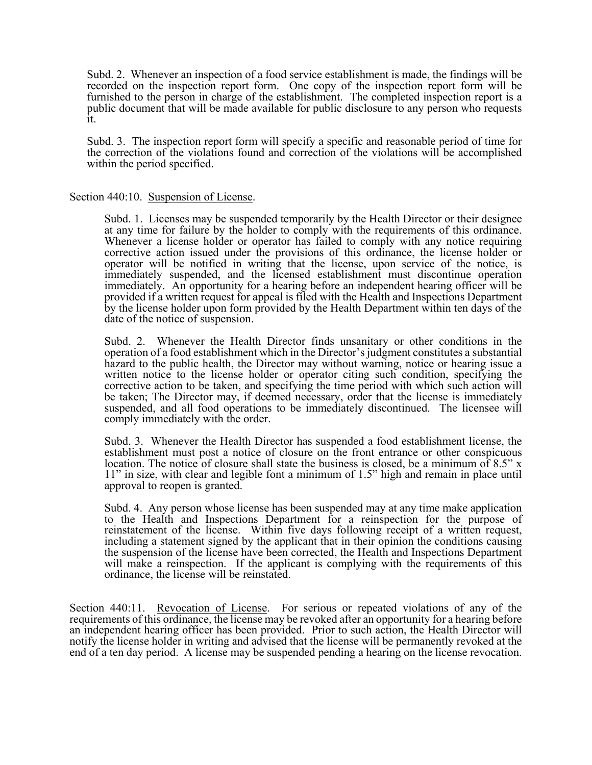Subd. 2. Whenever an inspection of a food service establishment is made, the findings will be recorded on the inspection report form. One copy of the inspection report form will be furnished to the person in charge of the establishment. The completed inspection report is a public document that will be made available for public disclosure to any person who requests it.

 Subd. 3. The inspection report form will specify a specific and reasonable period of time for the correction of the violations found and correction of the violations will be accomplished within the period specified.

## Section 440:10. Suspension of License.

 Subd. 1. Licenses may be suspended temporarily by the Health Director or their designee at any time for failure by the holder to comply with the requirements of this ordinance. Whenever a license holder or operator has failed to comply with any notice requiring corrective action issued under the provisions of this ordinance, the license holder or operator will be notified in writing that the license, upon service of the notice, is immediately suspended, and the licensed establishment must discontinue operation immediately. An opportunity for a hearing before an independent hearing officer will be provided if a written request for appeal is filed with the Health and Inspections Department by the license holder upon form provided by the Health Department within ten days of the date of the notice of suspension.

 Subd. 2. Whenever the Health Director finds unsanitary or other conditions in the operation of a food establishment which in the Director's judgment constitutes a substantial hazard to the public health, the Director may without warning, notice or hearing issue a written notice to the license holder or operator citing such condition, specifying the corrective action to be taken, and specifying the time period with which such action will be taken; The Director may, if deemed necessary, order that the license is immediately suspended, and all food operations to be immediately discontinued. The licensee will comply immediately with the order.

 Subd. 3. Whenever the Health Director has suspended a food establishment license, the establishment must post a notice of closure on the front entrance or other conspicuous location. The notice of closure shall state the business is closed, be a minimum of 8.5" x 11" in size, with clear and legible font a minimum of 1.5" high and remain in place until approval to reopen is granted.

 Subd. 4. Any person whose license has been suspended may at any time make application to the Health and Inspections Department for a reinspection for the purpose of reinstatement of the license. Within five days following receipt of a written request, including a statement signed by the applicant that in their opinion the conditions causing the suspension of the license have been corrected, the Health and Inspections Department will make a reinspection. If the applicant is complying with the requirements of this ordinance, the license will be reinstated.

Section 440:11. Revocation of License. For serious or repeated violations of any of the requirements of this ordinance, the license may be revoked after an opportunity for a hearing before an independent hearing officer has been provided. Prior to such action, the Health Director will notify the license holder in writing and advised that the license will be permanently revoked at the end of a ten day period. A license may be suspended pending a hearing on the license revocation.